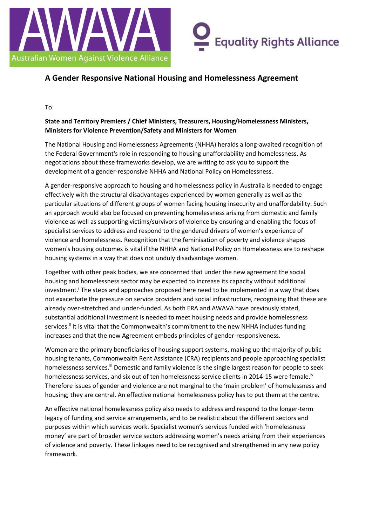



### **A Gender Responsive National Housing and Homelessness Agreement**

To:

#### **State and Territory Premiers / Chief Ministers, Treasurers, Housing/Homelessness Ministers, Ministers for Violence Prevention/Safety and Ministers for Women**

The National Housing and Homelessness Agreements (NHHA) heralds a long-awaited recognition of the Federal Government's role in responding to housing unaffordability and homelessness. As negotiations about these frameworks develop, we are writing to ask you to support the development of a gender-responsive NHHA and National Policy on Homelessness.

A gender-responsive approach to housing and homelessness policy in Australia is needed to engage effectively with the structural disadvantages experienced by women generally as well as the particular situations of different groups of women facing housing insecurity and unaffordability. Such an approach would also be focused on preventing homelessness arising from domestic and family violence as well as supporting victims/survivors of violence by ensuring and enabling the focus of specialist services to address and respond to the gendered drivers of women's experience of violence and homelessness. Recognition that the feminisation of poverty and violence shapes women's housing outcomes is vital if the NHHA and National Policy on Homelessness are to reshape housing systems in a way that does not unduly disadvantage women.

Together with other peak bodies, we are concerned that under the new agreement the social housing and homelessness sector may be expected to increase its capacity without additional investment.<sup>i</sup> The steps and approaches proposed here need to be implemented in a way that does not exacerbate the pressure on service providers and social infrastructure, recognising that these are already over-stretched and under-funded. As both ERA and AWAVA have previously stated, substantial additional investment is needed to meet housing needs and provide homelessness services.<sup>ii</sup> It is vital that the Commonwealth's commitment to the new NHHA includes funding increases and that the new Agreement embeds principles of gender-responsiveness.

Women are the primary beneficiaries of housing support systems, making up the majority of public housing tenants, Commonwealth Rent Assistance (CRA) recipients and people approaching specialist homelessness services.<sup>iii</sup> Domestic and family violence is the single largest reason for people to seek homelessness services, and six out of ten homelessness service clients in 2014-15 were female.<sup>iv</sup> Therefore issues of gender and violence are not marginal to the 'main problem' of homelessness and housing; they are central. An effective national homelessness policy has to put them at the centre.

An effective national homelessness policy also needs to address and respond to the longer-term legacy of funding and service arrangements, and to be realistic about the different sectors and purposes within which services work. Specialist women's services funded with 'homelessness money' are part of broader service sectors addressing women's needs arising from their experiences of violence and poverty. These linkages need to be recognised and strengthened in any new policy framework.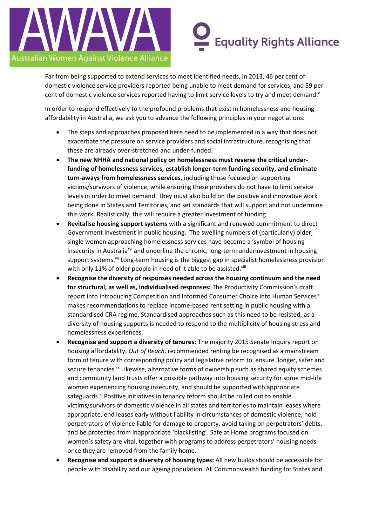

# **Equality Rights Alliance**

Far from being supported to extend services to meet identified needs, in 2013, 46 per cent of domestic violence service providers reported being unable to meet demand for services, and 59 per cent of domestic violence services reported having to limit service levels to try and meet demand.<sup>v</sup>

In order to respond effectively to the profound problems that exist in homelessness and housing affordability in Australia, we ask you to advance the following principles in your negotiations:

- The steps and approaches proposed here need to be implemented in a way that does not exacerbate the pressure on service providers and social infrastructure, recognising that these are already over-stretched and under-funded.
- **The new NHHA and national policy on homelessness must reverse the critical underfunding of homelessness services, establish longer-term funding security, and eliminate turn-aways from homelessness services**, including those focused on supporting victims/survivors of violence, while ensuring these providers do not have to limit service levels in order to meet demand. They must also build on the positive and innovative work being done in States and Territories, and set standards that will support and not undermine this work. Realistically, this will require a greater investment of funding.
- **Revitalise housing support systems** with a significant and renewed commitment to direct Government investment in public housing. The swelling numbers of (particularly) older, single women approaching homelessness services have become a 'symbol of housing insecurity in Australia'vi and underline the chronic, long-term underinvestment in housing support systems.<sup>vii</sup> Long-term housing is the biggest gap in specialist homelessness provision with only 11% of older people in need of it able to be assisted.<sup>viii</sup>
- **Recognise the diversity of responses needed across the housing continuum and the need for structural, as well as, individualised responses:** The Productivity Commission's draft report into Introducing Competition and Informed Consumer Choice into Human Services<sup>ix</sup> makes recommendations to replace income-based rent setting in public housing with a standardised CRA regime. Standardised approaches such as this need to be resisted, as a diversity of housing supports is needed to respond to the multiplicity of housing stress and homelessness experiences.
- **Recognise and support a diversity of tenures:** The majority 2015 Senate Inquiry report on housing affordability, *Out of Reach*, recommended renting be recognised as a mainstream form of tenure with corresponding policy and legislative reform to ensure 'longer, safer and secure tenancies.<sup>'x</sup> Likewise, alternative forms of ownership such as shared equity schemes and community land trusts offer a possible pathway into housing security for some mid-life women experiencing housing insecurity, and should be supported with appropriate safeguards.<sup>xi</sup> Positive initiatives in tenancy reform should be rolled out to enable victims/survivors of domestic violence in all states and territories to maintain leases where appropriate, end leases early without liability in circumstances of domestic violence, hold perpetrators of violence liable for damage to property, avoid taking on perpetrators' debts, and be protected from inappropriate 'blacklisting'. Safe at Home programs focused on women's safety are vital, together with programs to address perpetrators' housing needs once they are removed from the family home.
- **Recognise and support a diversity of housing types:** All new builds should be accessible for people with disability and our ageing population. All Commonwealth funding for States and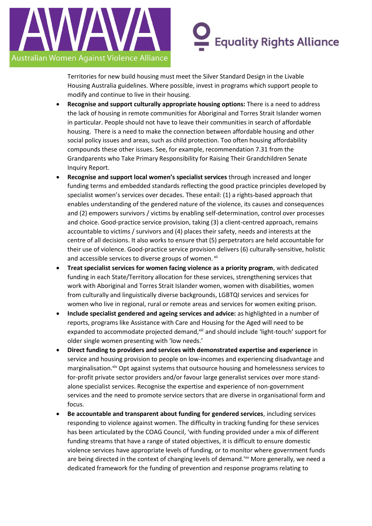

# **Equality Rights Alliance**

Territories for new build housing must meet the Silver Standard Design in the Livable Housing Australia guidelines. Where possible, invest in programs which support people to modify and continue to live in their housing.

- **Recognise and support culturally appropriate housing options:** There is a need to address the lack of housing in remote communities for Aboriginal and Torres Strait Islander women in particular. People should not have to leave their communities in search of affordable housing. There is a need to make the connection between affordable housing and other social policy issues and areas, such as child protection. Too often housing affordability compounds these other issues. See, for example, recommendation 7.31 from the Grandparents who Take Primary Responsibility for Raising Their Grandchildren Senate Inquiry Report.
- **Recognise and support local women's specialist services** through increased and longer funding terms and embedded standards reflecting the good practice principles developed by specialist women's services over decades. These entail: (1) a rights-based approach that enables understanding of the gendered nature of the violence, its causes and consequences and (2) empowers survivors / victims by enabling self-determination, control over processes and choice. Good-practice service provision, taking (3) a client-centred approach, remains accountable to victims / survivors and (4) places their safety, needs and interests at the centre of all decisions. It also works to ensure that (5) perpetrators are held accountable for their use of violence. Good-practice service provision delivers (6) culturally-sensitive, holistic and accessible services to diverse groups of women. xii
- **Treat specialist services for women facing violence as a priority program**, with dedicated funding in each State/Territory allocation for these services, strengthening services that work with Aboriginal and Torres Strait Islander women, women with disabilities, women from culturally and linguistically diverse backgrounds, LGBTQI services and services for women who live in regional, rural or remote areas and services for women exiting prison.
- **Include specialist gendered and ageing services and advice:** as highlighted in a number of reports, programs like Assistance with Care and Housing for the Aged will need to be expanded to accommodate projected demand, xiii and should include 'light-touch' support for older single women presenting with 'low needs.'
- **Direct funding to providers and services with demonstrated expertise and experience** in service and housing provision to people on low-incomes and experiencing disadvantage and marginalisation.xiv Opt against systems that outsource housing and homelessness services to for-profit private sector providers and/or favour large generalist services over more standalone specialist services. Recognise the expertise and experience of non-government services and the need to promote service sectors that are diverse in organisational form and focus.
- **Be accountable and transparent about funding for gendered services**, including services responding to violence against women. The difficulty in tracking funding for these services has been articulated by the COAG Council, 'with funding provided under a mix of different funding streams that have a range of stated objectives, it is difficult to ensure domestic violence services have appropriate levels of funding, or to monitor where government funds are being directed in the context of changing levels of demand.<sup>'xv</sup> More generally, we need a dedicated framework for the funding of prevention and response programs relating to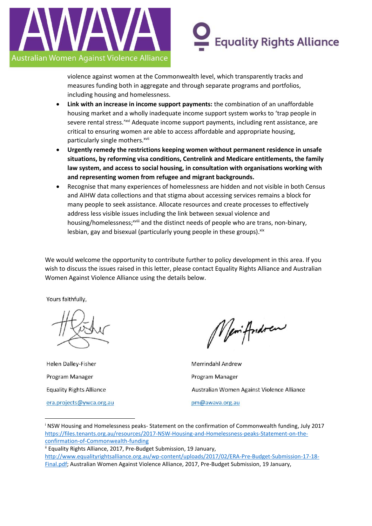

# **Equality Rights Alliance**

violence against women at the Commonwealth level, which transparently tracks and measures funding both in aggregate and through separate programs and portfolios, including housing and homelessness.

- **Link with an increase in income support payments:** the combination of an unaffordable housing market and a wholly inadequate income support system works to 'trap people in severe rental stress.'<sup>xvi</sup> Adequate income support payments, including rent assistance, are critical to ensuring women are able to access affordable and appropriate housing, particularly single mothers.<sup>xvii</sup>
- **Urgently remedy the restrictions keeping women without permanent residence in unsafe situations, by reforming visa conditions, Centrelink and Medicare entitlements, the family law system, and access to social housing, in consultation with organisations working with and representing women from refugee and migrant backgrounds.**
- Recognise that many experiences of homelessness are hidden and not visible in both Census and AIHW data collections and that stigma about accessing services remains a block for many people to seek assistance. Allocate resources and create processes to effectively address less visible issues including the link between sexual violence and housing/homelessness;xviii and the distinct needs of people who are trans, non-binary, lesbian, gay and bisexual (particularly young people in these groups). Xix

We would welcome the opportunity to contribute further to policy development in this area. If you wish to discuss the issues raised in this letter, please contact Equality Rights Alliance and Australian Women Against Violence Alliance using the details below.

Yours faithfully,

Helen Dalley-Fisher Program Manager **Equality Rights Alliance** era.projects@ywca.org.au

1

Nemiffondrew

**Merrindahl Andrew** Program Manager Australian Women Against Violence Alliance pm@awava.org.au

<sup>i</sup> NSW Housing and Homelessness peaks- Statement on the confirmation of Commonwealth funding, July 2017 [https://files.tenants.org.au/resources/2017-NSW-Housing-and-Homelessness-peaks-Statement-on-the](https://files.tenants.org.au/resources/2017-NSW-Housing-and-Homelessness-peaks-Statement-on-the-confirmation-of-Commonwealth-funding)[confirmation-of-Commonwealth-funding](https://files.tenants.org.au/resources/2017-NSW-Housing-and-Homelessness-peaks-Statement-on-the-confirmation-of-Commonwealth-funding)

ii Equality Rights Alliance, 2017, Pre-Budget Submission, 19 January,

[http://www.equalityrightsalliance.org.au/wp-content/uploads/2017/02/ERA-Pre-Budget-Submission-17-18-](http://www.equalityrightsalliance.org.au/wp-content/uploads/2017/02/ERA-Pre-Budget-Submission-17-18-Final.pdf) [Final.pdf;](http://www.equalityrightsalliance.org.au/wp-content/uploads/2017/02/ERA-Pre-Budget-Submission-17-18-Final.pdf) Australian Women Against Violence Alliance, 2017, Pre-Budget Submission, 19 January,